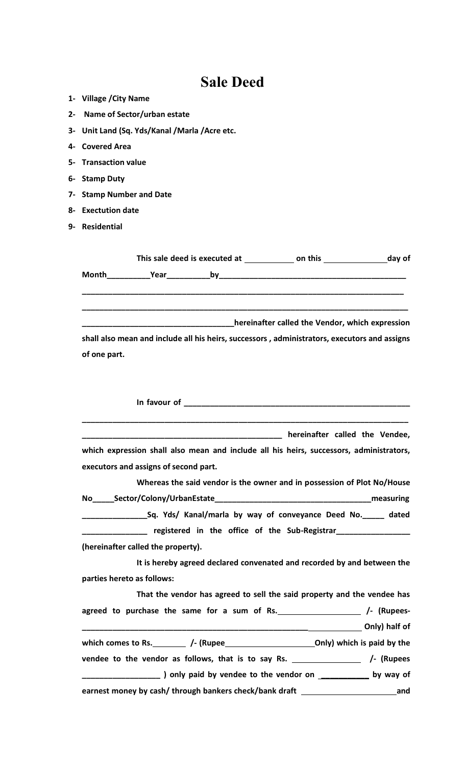## **Sale Deed**

| 1- Village / City Name                                                                       |
|----------------------------------------------------------------------------------------------|
| 2- Name of Sector/urban estate                                                               |
| 3- Unit Land (Sq. Yds/Kanal /Marla /Acre etc.                                                |
| 4- Covered Area                                                                              |
| 5- Transaction value                                                                         |
| 6- Stamp Duty                                                                                |
| 7- Stamp Number and Date                                                                     |
| 8- Exectution date                                                                           |
| 9- Residential                                                                               |
|                                                                                              |
|                                                                                              |
|                                                                                              |
|                                                                                              |
|                                                                                              |
| hereinafter called the Vendor, which expression                                              |
| shall also mean and include all his heirs, successors, administrators, executors and assigns |
| of one part.                                                                                 |
|                                                                                              |
|                                                                                              |
|                                                                                              |
|                                                                                              |
| hereinafter called the Vendee,                                                               |
| which expression shall also mean and include all his heirs, successors, administrators,      |
| executors and assigns of second part.                                                        |
| Whereas the said vendor is the owner and in possession of Plot No/House                      |
|                                                                                              |
| Sq. Yds/ Kanal/marla by way of conveyance Deed No. _____ dated                               |
| <b>EXAMPLE 2018</b> registered in the office of the Sub-Registrar                            |
|                                                                                              |
| (hereinafter called the property).                                                           |
| It is hereby agreed declared convenated and recorded by and between the                      |
| parties hereto as follows:                                                                   |
| That the vendor has agreed to sell the said property and the vendee has                      |
|                                                                                              |
|                                                                                              |
|                                                                                              |
| vendee to the vendor as follows, that is to say Rs. __________________ /- (Rupees            |
| _ ) only paid by vendee to the vendor on _____________ by way of                             |
| earnest money by cash/ through bankers check/bank draft example and and                      |